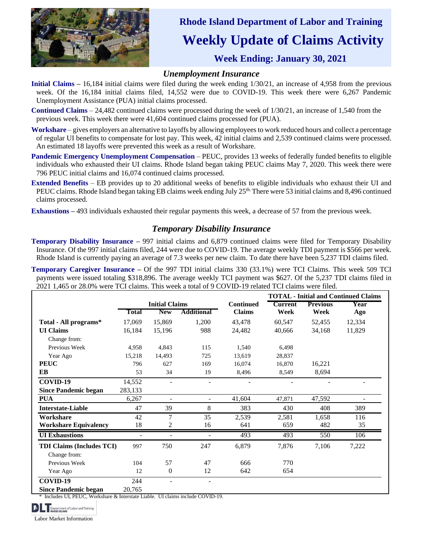

## **Rhode Island Department of Labor and Training** **Weekly Update of Claims Activity** **Week Ending: January 30, 2021**

## *Unemployment Insurance*

- **Initial Claims** 16,184 initial claims were filed during the week ending  $1/30/21$ , an increase of 4,958 from the previous week. Of the 16,184 initial claims filed, 14,552 were due to COVID-19. This week there were 6,267 Pandemic Unemployment Assistance (PUA) initial claims processed.
- **Continued Claims** 24,482 continued claims were processed during the week of 1/30/21, an increase of 1,540 from the previous week. This week there were 41,604 continued claims processed for (PUA).
- **Workshare** gives employers an alternative to layoffs by allowing employees to work reduced hours and collect a percentage of regular UI benefits to compensate for lost pay. This week, 42 initial claims and 2,539 continued claims were processed. An estimated 18 layoffs were prevented this week as a result of Workshare.
- **Pandemic Emergency Unemployment Compensation** PEUC, provides 13 weeks of federally funded benefits to eligible individuals who exhausted their UI claims. Rhode Island began taking PEUC claims May 7, 2020. This week there were 796 PEUC initial claims and 16,074 continued claims processed.
- **Extended Benefits** EB provides up to 20 additional weeks of benefits to eligible individuals who exhaust their UI and PEUC claims. Rhode Island began taking EB claims week ending July 25<sup>th.</sup> There were 53 initial claims and 8,496 continued claims processed.
- **Exhaustions –** 493 individuals exhausted their regular payments this week, a decrease of 57 from the previous week.

## *Temporary Disability Insurance*

**Temporary Disability Insurance –** 997 initial claims and 6,879 continued claims were filed for Temporary Disability Insurance. Of the 997 initial claims filed, 244 were due to COVID-19. The average weekly TDI payment is \$566 per week. Rhode Island is currently paying an average of 7.3 weeks per new claim. To date there have been 5,237 TDI claims filed.

**Temporary Caregiver Insurance –** Of the 997 TDI initial claims 330 (33.1%) were TCI Claims. This week 509 TCI payments were issued totaling \$318,896. The average weekly TCI payment was \$627. Of the 5,237 TDI claims filed in 2021 1,465 or 28.0% were TCI claims. This week a total of 9 COVID-19 related TCI claims were filed.

|                                  |                          |                          |                          |                  | <b>TOTAL - Initial and Continued Claims</b> |                 |        |
|----------------------------------|--------------------------|--------------------------|--------------------------|------------------|---------------------------------------------|-----------------|--------|
|                                  | <b>Initial Claims</b>    |                          |                          | <b>Continued</b> | <b>Current</b>                              | <b>Previous</b> | Year   |
|                                  | Total                    | <b>New</b>               | <b>Additional</b>        | <b>Claims</b>    | Week                                        | Week            | Ago    |
| Total - All programs*            | 17,069                   | 15,869                   | 1,200                    | 43,478           | 60,547                                      | 52,455          | 12,334 |
| <b>UI</b> Claims                 | 16,184                   | 15,196                   | 988                      | 24,482           | 40,666                                      | 34,168          | 11,829 |
| Change from:                     |                          |                          |                          |                  |                                             |                 |        |
| Previous Week                    | 4,958                    | 4,843                    | 115                      | 1,540            | 6,498                                       |                 |        |
| Year Ago                         | 15,218                   | 14,493                   | 725                      | 13,619           | 28,837                                      |                 |        |
| <b>PEUC</b>                      | 796                      | 627                      | 169                      | 16,074           | 16,870                                      | 16,221          |        |
| EB                               | 53                       | 34                       | 19                       | 8,496            | 8,549                                       | 8,694           |        |
| COVID-19                         | 14,552                   |                          |                          |                  |                                             |                 |        |
| <b>Since Pandemic began</b>      | 283,133                  |                          |                          |                  |                                             |                 |        |
| <b>PUA</b>                       | 6,267                    | $\overline{\phantom{0}}$ | $\overline{\phantom{a}}$ | 41,604           | 47,871                                      | 47,592          |        |
| <b>Interstate-Liable</b>         | 47                       | 39                       | 8                        | 383              | 430                                         | 408             | 389    |
| Workshare                        | 42                       | 7                        | 35                       | 2,539            | 2,581                                       | 1,658           | 116    |
| <b>Workshare Equivalency</b>     | 18                       | 2                        | 16                       | 641              | 659                                         | 482             | 35     |
| <b>UI</b> Exhaustions            | $\overline{\phantom{a}}$ | $\blacksquare$           | ۰                        | 493              | 493                                         | 550             | 106    |
| <b>TDI Claims (Includes TCI)</b> | 997                      | 750                      | 247                      | 6,879            | 7,876                                       | 7,106           | 7,222  |
| Change from:                     |                          |                          |                          |                  |                                             |                 |        |
| Previous Week                    | 104                      | 57                       | 47                       | 666              | 770                                         |                 |        |
| Year Ago                         | 12                       | $\overline{0}$           | 12                       | 642              | 654                                         |                 |        |
| COVID-19                         | 244                      | $\overline{\phantom{a}}$ | $\overline{\phantom{a}}$ |                  |                                             |                 |        |
| <b>Since Pandemic began</b>      | 20,765                   |                          |                          |                  |                                             |                 |        |

Includes UI, PEUC, Workshare & Interstate Liable. UI claims include COVID-19.